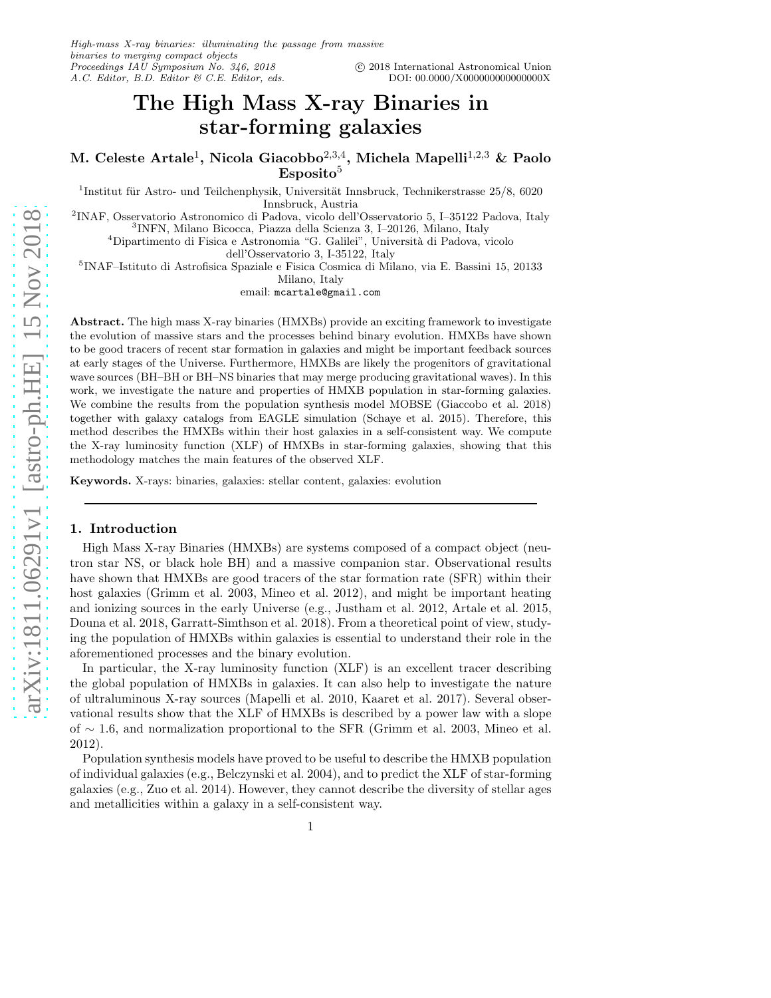# The High Mass X-ray Binaries in star-forming galaxies

M. Celeste Artale<sup>1</sup>, Nicola Giacobbo<sup>2,3,4</sup>, Michela Mapelli<sup>1,2,3</sup> & Paolo  $Esposito<sup>5</sup>$ 

<sup>1</sup>Institut für Astro- und Teilchenphysik, Universität Innsbruck, Technikerstrasse  $25/8$ , 6020 Innsbruck, Austria

2 INAF, Osservatorio Astronomico di Padova, vicolo dell'Osservatorio 5, I–35122 Padova, Italy 3 INFN, Milano Bicocca, Piazza della Scienza 3, I–20126, Milano, Italy

 ${}^4\mathrm{Dipartimento}$ di Fisica e Astronomia "G. Galilei", Università di Padova, vicolo

dell'Osservatorio 3, I-35122, Italy

5 INAF–Istituto di Astrofisica Spaziale e Fisica Cosmica di Milano, via E. Bassini 15, 20133 Milano, Italy

email: mcartale@gmail.com

Abstract. The high mass X-ray binaries (HMXBs) provide an exciting framework to investigate the evolution of massive stars and the processes behind binary evolution. HMXBs have shown to be good tracers of recent star formation in galaxies and might be important feedback sources at early stages of the Universe. Furthermore, HMXBs are likely the progenitors of gravitational wave sources (BH–BH or BH–NS binaries that may merge producing gravitational waves). In this work, we investigate the nature and properties of HMXB population in star-forming galaxies. We combine the results from the population synthesis model MOBSE (Giaccobo et al. 2018) together with galaxy catalogs from EAGLE simulation (Schaye et al. 2015). Therefore, this method describes the HMXBs within their host galaxies in a self-consistent way. We compute the X-ray luminosity function (XLF) of HMXBs in star-forming galaxies, showing that this methodology matches the main features of the observed XLF.

Keywords. X-rays: binaries, galaxies: stellar content, galaxies: evolution

# 1. Introduction

High Mass X-ray Binaries (HMXBs) are systems composed of a compact object (neutron star NS, or black hole BH) and a massive companion star. Observational results have shown that HMXBs are good tracers of the star formation rate (SFR) within their host galaxies (Grimm et al. 2003, Mineo et al. 2012), and might be important heating and ionizing sources in the early Universe (e.g., Justham et al. 2012, Artale et al. 2015, Douna et al. 2018, Garratt-Simthson et al. 2018). From a theoretical point of view, studying the population of HMXBs within galaxies is essential to understand their role in the aforementioned processes and the binary evolution.

In particular, the X-ray luminosity function (XLF) is an excellent tracer describing the global population of HMXBs in galaxies. It can also help to investigate the nature of ultraluminous X-ray sources (Mapelli et al. 2010, Kaaret et al. 2017). Several observational results show that the XLF of HMXBs is described by a power law with a slope of ∼ 1.6, and normalization proportional to the SFR (Grimm et al. 2003, Mineo et al. 2012).

Population synthesis models have proved to be useful to describe the HMXB population of individual galaxies (e.g., Belczynski et al. 2004), and to predict the XLF of star-forming galaxies (e.g., Zuo et al. 2014). However, they cannot describe the diversity of stellar ages and metallicities within a galaxy in a self-consistent way.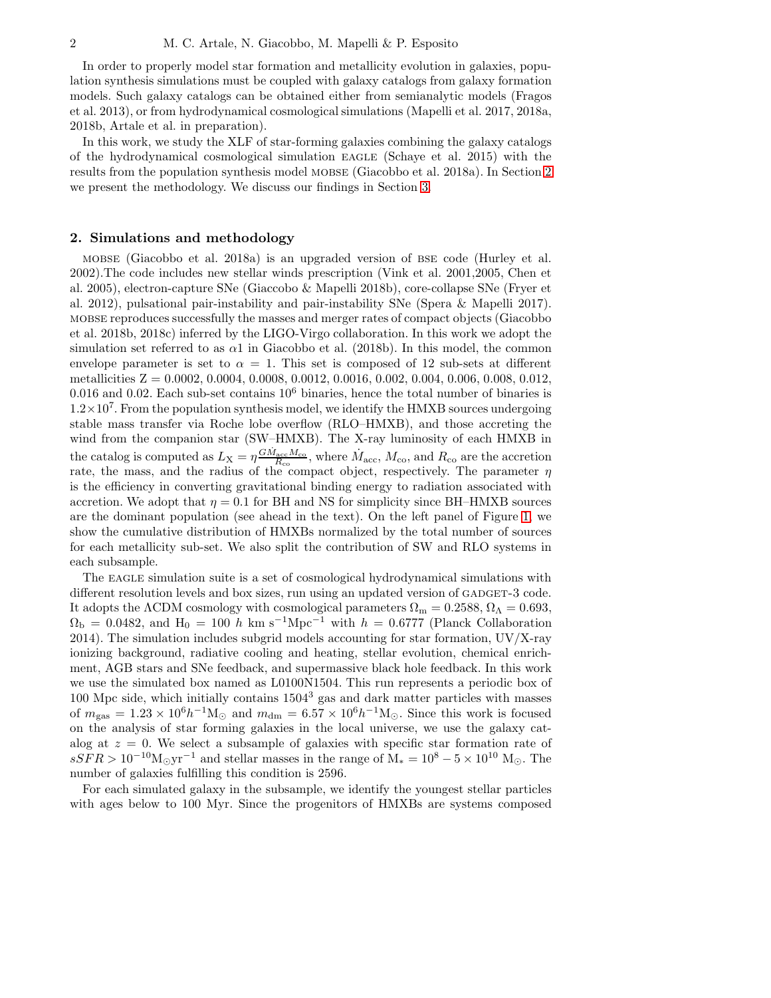In order to properly model star formation and metallicity evolution in galaxies, population synthesis simulations must be coupled with galaxy catalogs from galaxy formation models. Such galaxy catalogs can be obtained either from semianalytic models (Fragos et al. 2013), or from hydrodynamical cosmological simulations (Mapelli et al. 2017, 2018a, 2018b, Artale et al. in preparation).

In this work, we study the XLF of star-forming galaxies combining the galaxy catalogs of the hydrodynamical cosmological simulation eagle (Schaye et al. 2015) with the results from the population synthesis model mobse (Giacobbo et al. 2018a). In Section [2](#page-1-0) we present the methodology. We discuss our findings in Section [3.](#page-3-0)

#### <span id="page-1-0"></span>2. Simulations and methodology

mobse (Giacobbo et al. 2018a) is an upgraded version of bse code (Hurley et al. 2002).The code includes new stellar winds prescription (Vink et al. 2001,2005, Chen et al. 2005), electron-capture SNe (Giaccobo & Mapelli 2018b), core-collapse SNe (Fryer et al. 2012), pulsational pair-instability and pair-instability SNe (Spera & Mapelli 2017). mobse reproduces successfully the masses and merger rates of compact objects (Giacobbo et al. 2018b, 2018c) inferred by the LIGO-Virgo collaboration. In this work we adopt the simulation set referred to as  $\alpha$ 1 in Giacobbo et al. (2018b). In this model, the common envelope parameter is set to  $\alpha = 1$ . This set is composed of 12 sub-sets at different metallicities Z = 0.0002, 0.0004, 0.0008, 0.0012, 0.0016, 0.002, 0.004, 0.006, 0.008, 0.012,  $0.016$  and  $0.02$ . Each sub-set contains  $10<sup>6</sup>$  binaries, hence the total number of binaries is  $1.2 \times 10^7$ . From the population synthesis model, we identify the HMXB sources undergoing stable mass transfer via Roche lobe overflow (RLO–HMXB), and those accreting the wind from the companion star (SW–HMXB). The X-ray luminosity of each HMXB in the catalog is computed as  $L_X = \eta \frac{G \dot{M}_{acc} M_{co}}{R_{co}}$ , where  $\dot{M}_{acc}$ ,  $M_{co}$ , and  $R_{co}$  are the accretion rate, the mass, and the radius of the compact object, respectively. The parameter  $\eta$ is the efficiency in converting gravitational binding energy to radiation associated with accretion. We adopt that  $\eta = 0.1$  for BH and NS for simplicity since BH–HMXB sources are the dominant population (see ahead in the text). On the left panel of Figure [1,](#page-2-0) we show the cumulative distribution of HMXBs normalized by the total number of sources for each metallicity sub-set. We also split the contribution of SW and RLO systems in each subsample.

The EAGLE simulation suite is a set of cosmological hydrodynamical simulations with different resolution levels and box sizes, run using an updated version of GADGET-3 code. It adopts the ΛCDM cosmology with cosmological parameters  $\Omega_{\rm m} = 0.2588, \Omega_{\Lambda} = 0.693$ ,  $\Omega_{\rm b} = 0.0482$ , and  $H_0 = 100 h \text{ km s}^{-1} \text{Mpc}^{-1}$  with  $h = 0.6777$  (Planck Collaboration 2014). The simulation includes subgrid models accounting for star formation,  $UV/X-ray$ ionizing background, radiative cooling and heating, stellar evolution, chemical enrichment, AGB stars and SNe feedback, and supermassive black hole feedback. In this work we use the simulated box named as L0100N1504. This run represents a periodic box of  $100$  Mpc side, which initially contains  $1504<sup>3</sup>$  gas and dark matter particles with masses of  $m_{\text{gas}} = 1.23 \times 10^6 h^{-1} \text{M}_{\odot}$  and  $m_{\text{dm}} = 6.57 \times 10^6 h^{-1} \text{M}_{\odot}$ . Since this work is focused on the analysis of star forming galaxies in the local universe, we use the galaxy catalog at  $z = 0$ . We select a subsample of galaxies with specific star formation rate of  $sSFR > 10^{-10} M_{\odot} yr^{-1}$  and stellar masses in the range of  $M_* = 10^8 - 5 \times 10^{10} M_{\odot}$ . The number of galaxies fulfilling this condition is 2596.

For each simulated galaxy in the subsample, we identify the youngest stellar particles with ages below to 100 Myr. Since the progenitors of HMXBs are systems composed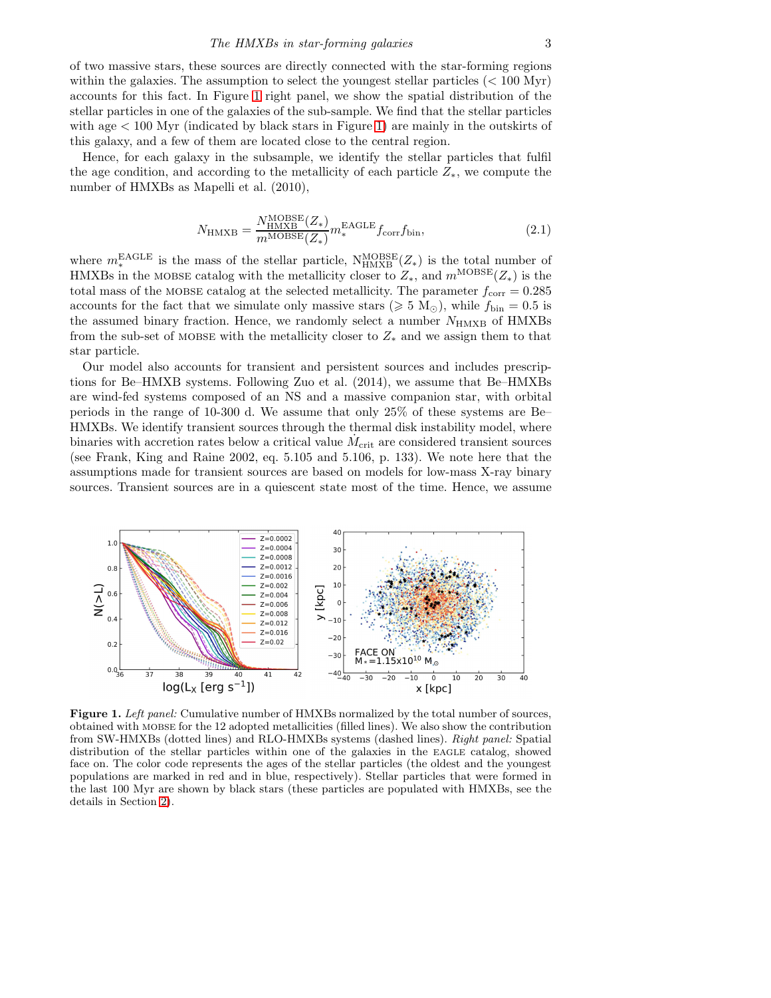# The HMXBs in star-forming galaxies 3

of two massive stars, these sources are directly connected with the star-forming regions within the galaxies. The assumption to select the youngest stellar particles  $(< 100 \text{ Myr})$ accounts for this fact. In Figure [1](#page-2-0) right panel, we show the spatial distribution of the stellar particles in one of the galaxies of the sub-sample. We find that the stellar particles with age  $\lt 100$  Myr (indicated by black stars in Figure [1\)](#page-2-0) are mainly in the outskirts of this galaxy, and a few of them are located close to the central region.

Hence, for each galaxy in the subsample, we identify the stellar particles that fulfil the age condition, and according to the metallicity of each particle  $Z_*$ , we compute the number of HMXBs as Mapelli et al. (2010),

$$
N_{\text{HMXB}} = \frac{N_{\text{HMXB}}^{\text{MOBSE}}(Z_*)}{m^{\text{MOBSE}}(Z_*)} m_*^{\text{EAGLE}} f_{\text{corr}} f_{\text{bin}},\tag{2.1}
$$

where  $m_*^{\text{EAGLE}}$  is the mass of the stellar particle,  $N_{\text{HMXB}}^{\text{MOBSE}}(Z_*)$  is the total number of HMXBs in the MOBSE catalog with the metallicity closer to  $Z_*$ , and  $m^{\text{MOBSE}}(Z_*)$  is the total mass of the MOBSE catalog at the selected metallicity. The parameter  $f_{\text{corr}} = 0.285$ accounts for the fact that we simulate only massive stars ( $\geq 5$  M<sub>☉</sub>), while  $f_{\text{bin}} = 0.5$  is the assumed binary fraction. Hence, we randomly select a number  $N_{\text{HMXB}}$  of HMXBs from the sub-set of MOBSE with the metallicity closer to  $Z_*$  and we assign them to that star particle.

Our model also accounts for transient and persistent sources and includes prescriptions for Be–HMXB systems. Following Zuo et al. (2014), we assume that Be–HMXBs are wind-fed systems composed of an NS and a massive companion star, with orbital periods in the range of 10-300 d. We assume that only 25% of these systems are Be– HMXBs. We identify transient sources through the thermal disk instability model, where binaries with accretion rates below a critical value  $\dot{M}_{\rm crit}$  are considered transient sources (see Frank, King and Raine 2002, eq. 5.105 and 5.106, p. 133). We note here that the assumptions made for transient sources are based on models for low-mass X-ray binary sources. Transient sources are in a quiescent state most of the time. Hence, we assume



<span id="page-2-0"></span>Figure 1. Left panel: Cumulative number of HMXBs normalized by the total number of sources, obtained with mobse for the 12 adopted metallicities (filled lines). We also show the contribution from SW-HMXBs (dotted lines) and RLO-HMXBs systems (dashed lines). Right panel: Spatial distribution of the stellar particles within one of the galaxies in the EAGLE catalog, showed face on. The color code represents the ages of the stellar particles (the oldest and the youngest populations are marked in red and in blue, respectively). Stellar particles that were formed in the last 100 Myr are shown by black stars (these particles are populated with HMXBs, see the details in Section [2\)](#page-1-0).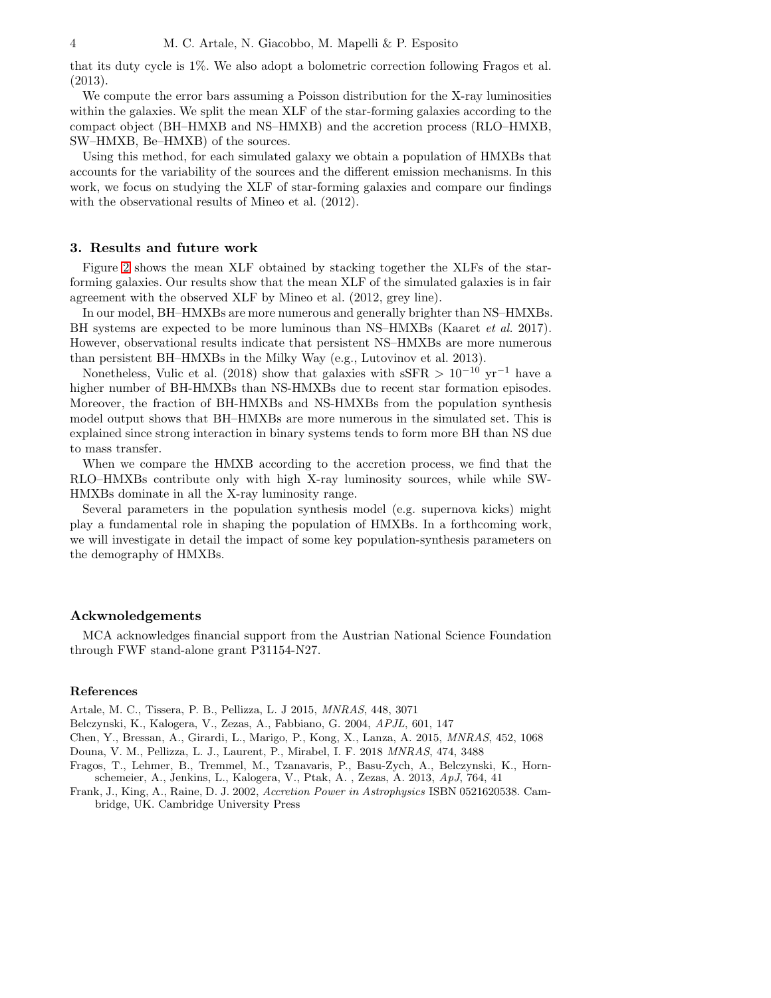that its duty cycle is 1%. We also adopt a bolometric correction following Fragos et al. (2013).

We compute the error bars assuming a Poisson distribution for the X-ray luminosities within the galaxies. We split the mean XLF of the star-forming galaxies according to the compact object (BH–HMXB and NS–HMXB) and the accretion process (RLO–HMXB, SW–HMXB, Be–HMXB) of the sources.

Using this method, for each simulated galaxy we obtain a population of HMXBs that accounts for the variability of the sources and the different emission mechanisms. In this work, we focus on studying the XLF of star-forming galaxies and compare our findings with the observational results of Mineo et al. (2012).

### <span id="page-3-0"></span>3. Results and future work

Figure [2](#page-4-0) shows the mean XLF obtained by stacking together the XLFs of the starforming galaxies. Our results show that the mean XLF of the simulated galaxies is in fair agreement with the observed XLF by Mineo et al. (2012, grey line).

In our model, BH–HMXBs are more numerous and generally brighter than NS–HMXBs. BH systems are expected to be more luminous than NS–HMXBs (Kaaret *et al.* 2017). However, observational results indicate that persistent NS–HMXBs are more numerous than persistent BH–HMXBs in the Milky Way (e.g., Lutovinov et al. 2013).

Nonetheless, Vulic et al. (2018) show that galaxies with sSFR >  $10^{-10}$  yr<sup>-1</sup> have a higher number of BH-HMXBs than NS-HMXBs due to recent star formation episodes. Moreover, the fraction of BH-HMXBs and NS-HMXBs from the population synthesis model output shows that BH–HMXBs are more numerous in the simulated set. This is explained since strong interaction in binary systems tends to form more BH than NS due to mass transfer.

When we compare the HMXB according to the accretion process, we find that the RLO–HMXBs contribute only with high X-ray luminosity sources, while while SW-HMXBs dominate in all the X-ray luminosity range.

Several parameters in the population synthesis model (e.g. supernova kicks) might play a fundamental role in shaping the population of HMXBs. In a forthcoming work, we will investigate in detail the impact of some key population-synthesis parameters on the demography of HMXBs.

# Ackwnoledgements

MCA acknowledges financial support from the Austrian National Science Foundation through FWF stand-alone grant P31154-N27.

### References

Artale, M. C., Tissera, P. B., Pellizza, L. J 2015, MNRAS, 448, 3071

Belczynski, K., Kalogera, V., Zezas, A., Fabbiano, G. 2004, APJL, 601, 147

Chen, Y., Bressan, A., Girardi, L., Marigo, P., Kong, X., Lanza, A. 2015, MNRAS, 452, 1068

Douna, V. M., Pellizza, L. J., Laurent, P., Mirabel, I. F. 2018 MNRAS, 474, 3488

Fragos, T., Lehmer, B., Tremmel, M., Tzanavaris, P., Basu-Zych, A., Belczynski, K., Hornschemeier, A., Jenkins, L., Kalogera, V., Ptak, A. , Zezas, A. 2013, ApJ, 764, 41

Frank, J., King, A., Raine, D. J. 2002, Accretion Power in Astrophysics ISBN 0521620538. Cambridge, UK. Cambridge University Press